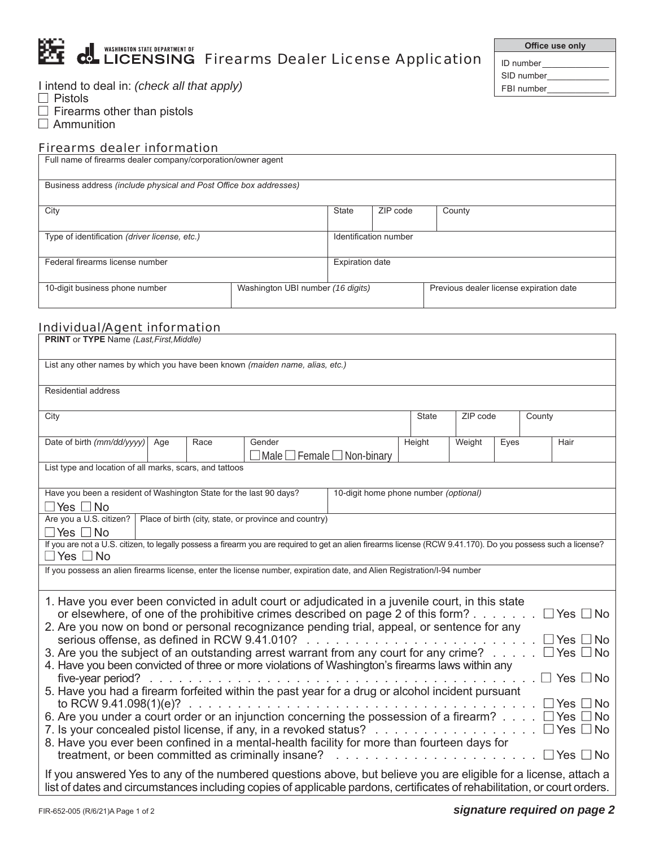|  | <b>ALL WASHINGTON STATE DEPARTMENT OF<br/>ALL PROPERTY CONNECTION CONNECTION CONNECTION CONNECTION FITCHERRY DEALER LICENSE Application</b> |
|--|---------------------------------------------------------------------------------------------------------------------------------------------|
|  |                                                                                                                                             |

I intend to deal in: *(check all that apply)*

 $\Box$  Pistols

- $\Box$  Firearms other than pistols
- $\Box$  Ammunition

# Firearms dealer information

| Full name of firearms dealer company/corporation/owner agent        |  |                       |                        |                                         |  |  |  |
|---------------------------------------------------------------------|--|-----------------------|------------------------|-----------------------------------------|--|--|--|
| Business address (include physical and Post Office box addresses)   |  |                       |                        |                                         |  |  |  |
| City                                                                |  |                       | ZIP code               | County                                  |  |  |  |
| Type of identification (driver license, etc.)                       |  | Identification number |                        |                                         |  |  |  |
| Federal firearms license number                                     |  |                       | <b>Expiration date</b> |                                         |  |  |  |
| Washington UBI number (16 digits)<br>10-digit business phone number |  |                       |                        | Previous dealer license expiration date |  |  |  |

## Individual/Agent information

| <b>PRINT</b> or TYPE Name (Last, First, Middle)                                                                                                                                                                                                                                             |              |          |      |        |  |  |  |
|---------------------------------------------------------------------------------------------------------------------------------------------------------------------------------------------------------------------------------------------------------------------------------------------|--------------|----------|------|--------|--|--|--|
| List any other names by which you have been known (maiden name, alias, etc.)                                                                                                                                                                                                                |              |          |      |        |  |  |  |
| Residential address                                                                                                                                                                                                                                                                         |              |          |      |        |  |  |  |
| City                                                                                                                                                                                                                                                                                        | <b>State</b> | ZIP code |      | County |  |  |  |
| Date of birth (mm/dd/yyyy)<br>Age<br>Gender<br>Race<br>$\Box$ Male $\Box$ Female $\Box$ Non-binary                                                                                                                                                                                          | Height       | Weight   | Eyes | Hair   |  |  |  |
| List type and location of all marks, scars, and tattoos                                                                                                                                                                                                                                     |              |          |      |        |  |  |  |
| Have you been a resident of Washington State for the last 90 days?<br>10-digit home phone number (optional)<br>$\Box$ Yes $\Box$ No                                                                                                                                                         |              |          |      |        |  |  |  |
| Are you a U.S. citizen?<br>Place of birth (city, state, or province and country)<br>∃Yes □No                                                                                                                                                                                                |              |          |      |        |  |  |  |
| If you are not a U.S. citizen, to legally possess a firearm you are required to get an alien firearms license (RCW 9.41.170). Do you possess such a license?<br>$\square$ Yes $\square$ No                                                                                                  |              |          |      |        |  |  |  |
| If you possess an alien firearms license, enter the license number, expiration date, and Alien Registration/I-94 number                                                                                                                                                                     |              |          |      |        |  |  |  |
| 1. Have you ever been convicted in adult court or adjudicated in a juvenile court, in this state<br>or elsewhere, of one of the prohibitive crimes described on page 2 of this form?<br>$\Box$ Yes $\Box$ No                                                                                |              |          |      |        |  |  |  |
| 2. Are you now on bond or personal recognizance pending trial, appeal, or sentence for any<br>serious offense, as defined in RCW 9.41.010?<br>$\Box$ Yes<br>$\neg$ No<br>.<br>3. Are you the subject of an outstanding arrest warrant from any court for any crime?<br>$\Box$ Yes $\Box$ No |              |          |      |        |  |  |  |
| 4. Have you been convicted of three or more violations of Washington's firearms laws within any<br>five-year period? $\ldots$<br>コ Yes □ No                                                                                                                                                 |              |          |      |        |  |  |  |
| 5. Have you had a firearm forfeited within the past year for a drug or alcohol incident pursuant<br>l Yes<br>No.                                                                                                                                                                            |              |          |      |        |  |  |  |
| 6. Are you under a court order or an injunction concerning the possession of a firearm?<br>$\Box$ Yes<br>No<br>No<br>$\Box$ Yes $\Box$                                                                                                                                                      |              |          |      |        |  |  |  |
| 8. Have you ever been confined in a mental-health facility for more than fourteen days for<br>treatment, or been committed as criminally insane?<br>$\Box$ Yes $\Box$ No                                                                                                                    |              |          |      |        |  |  |  |
| If you answered Yes to any of the numbered questions above, but believe you are eligible for a license, attach a<br>list of dates and circumstances including copies of applicable pardons, certificates of rehabilitation, or court orders.                                                |              |          |      |        |  |  |  |

**25 Office use only** 

ID number\_ SID number\_ FBI number\_